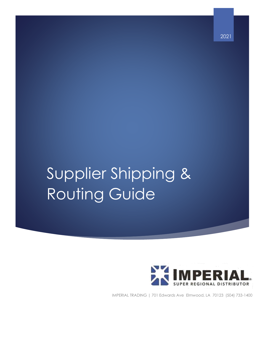# Supplier Shipping & Routing Guide



2021

IMPERIAL TRADING | 701 Edwards Ave Elmwood, LA 70123 (504) 733-1400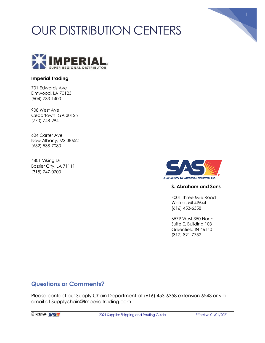# OUR DISTRIBUTION CENTERS



#### **Imperial Trading**

701 Edwards Ave Elmwood, LA 70123 (504) 733-1400

908 West Ave Cedartown, GA 30125 (770) 748-2941

604 Carter Ave New Albany, MS 38652 (662) 538-7080

4801 Viking Dr Bossier City, LA 71111 (318) 747-0700



#### **S. Abraham and Sons**

1

4001 Three Mile Road Walker, MI 49544 (616) 453-6358

6579 West 350 North Suite E, Building 103 Greenfield IN 46140 (317) 891-7752

#### **Questions or Comments?**

Please contact our Supply Chain Department at (616) 453-6358 extension 6543 or via email at Supplychain@Imperialtrading.com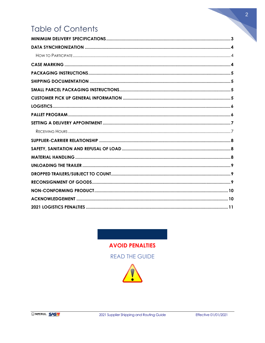# **Table of Contents**

**AVOID PENALTIES READ THE GUIDE** 



 $\overline{2}$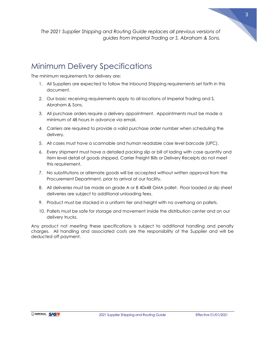*The 2021 Supplier Shipping and Routing Guide replaces all previous versions of guides from Imperial Trading or S. Abraham & Sons.*

### <span id="page-3-0"></span>Minimum Delivery Specifications

The minimum requirements for delivery are:

- 1. All Suppliers are expected to follow the Inbound Shipping requirements set forth in this document.
- 2. Our basic receiving requirements apply to all locations of Imperial Trading and S. Abraham & Sons.
- 3. All purchase orders require a delivery appointment. Appointments must be made a minimum of 48 hours in advance via email.
- 4. Carriers are required to provide a valid purchase order number when scheduling the delivery.
- 5. All cases must have a scannable and human readable case level barcode (UPC).
- 6. Every shipment must have a detailed packing slip or bill of lading with case quantity and item level detail of goods shipped. Carrier Freight Bills or Delivery Receipts do not meet this requirement.
- 7. No substitutions or alternate goods will be accepted without written approval from the Procurement Department, prior to arrival at our facility.
- 8. All deliveries must be made on grade A or B 40x48 GMA pallet. Floor loaded or slip sheet deliveries are subject to additional unloading fees.
- 9. Product must be stacked in a uniform tier and height with no overhang on pallets.
- 10. Pallets must be safe for storage and movement inside the distribution center and on our delivery trucks.

Any product not meeting these specifications is subject to additional handling and penalty charges. All handling and associated costs are the responsibility of the Supplier and will be deducted off payment.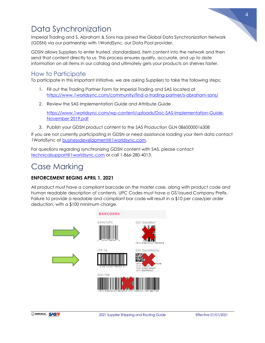

# <span id="page-4-0"></span>Data Synchronization

Imperial Trading and S. Abraham & Sons has joined the Global Data Synchronization Network (GDSN) via our partnership with 1WorldSync, our Data Pool provider.

GDSN allows Suppliers to enter trusted, standardized, item content into the network and then send that content directly to us. This process ensures quality, accurate, and up to date information on all items in our catalog and ultimately gets your products on shelves faster.

#### <span id="page-4-1"></span>How to Participate

To participate in this important initiative, we are asking Suppliers to take the following steps:

- 1. Fill out the Trading Partner Form for Imperial Trading and SAS located at <https://www.1worldsync.com/community/find-a-trading-partner/s-abraham-sons/>
- 2. Review the SAS Implementation Guide and Attribute Guide

[https://www.1worldsync.com/wp-content/uploads/Doc-SAS-Implementation-Guide-](https://www.1worldsync.com/wp-content/uploads/Doc-SAS-Implementation-Guide-November-2019.pdf)[November-2019.pdf](https://www.1worldsync.com/wp-content/uploads/Doc-SAS-Implementation-Guide-November-2019.pdf)

3. Publish your GDSN product content to the SAS Production GLN 0860000016308

If you are not currently participating in GDSN or need assistance loading your item data contact 1WorldSync at [businessdevelopment@1worldsync.com.](mailto:businessdevelopment@1worldsync.com)

For questions regarding synchronizing GDSN content with SAS, please contact [technicalsupport@1worldsync.com](mailto:technicalsupport@1worldsync.com) or call 1-866-280-4013.

# <span id="page-4-2"></span>Case Marking

#### **ENFORCEMENT BEGINS APRIL 1, 2021**

All product must have a compliant barcode on the master case, along with product code and human readable description of contents. UPC Codes must have a GS1issued Company Prefix. Failure to provide a readable and compliant bar code will result in a \$10 per case/per order deduction, with a \$100 minimum charge.

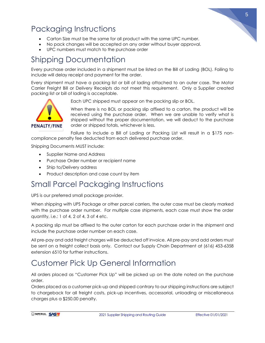

# <span id="page-5-0"></span>Packaging Instructions

- Carton Size must be the same for all product with the same UPC number.
- No pack changes will be accepted on any order without buyer approval.
- UPC numbers must match to the purchase order

# <span id="page-5-1"></span>Shipping Documentation

Every purchase order included in a shipment must be listed on the Bill of Lading (BOL). Failing to include will delay receipt and payment for the order.

Every shipment must have a packing list or bill of lading attached to an outer case. The Motor Carrier Freight Bill or Delivery Receipts do not meet this requirement. Only a Supplier created packing list or bill of lading is acceptable.



Each UPC shipped must appear on the packing slip or BOL.

When there is no BOL or packing slip affixed to a carton, the product will be received using the purchase order. When we are unable to verify what is shipped without the proper documentation, we will deduct to the purchase order or shipped totals, whichever is less.

Failure to include a Bill of Lading or Packing List will result in a \$175 noncompliance penalty fee deducted from each delivered purchase order.

Shipping Documents MUST include:

- Supplier Name and Address
- Purchase Order number or recipient name
- Ship to/Delivery address
- Product description and case count by item

### <span id="page-5-2"></span>Small Parcel Packaging Instructions

UPS is our preferred small package provider.

When shipping with UPS Package or other parcel carriers, the outer case must be clearly marked with the purchase order number. For multiple case shipments, each case must show the order quantity, i.e.: 1 of 4, 2 of 4, 3 of 4 etc.

A packing slip must be affixed to the outer carton for each purchase order in the shipment and include the purchase order number on each case.

All pre-pay and add freight charges will be deducted off invoice. All pre-pay and add orders must be sent on a freight collect basis only. Contact our Supply Chain Department at (616) 453-6358 extension 6510 for further instructions.

# <span id="page-5-3"></span>Customer Pick Up General Information

All orders placed as "Customer Pick Up" will be picked up on the date noted on the purchase order.

Orders placed as a customer pick-up and shipped contrary to our shipping instructions are subject to chargeback for all freight costs, pick-up incentives, accessorial, unloading or miscellaneous charges plus a \$250.00 penalty.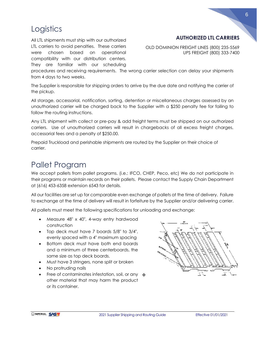### <span id="page-6-0"></span>**Logistics**

All LTL shipments must ship with our authorized LTL carriers to avoid penalties.These carriers were chosen based on operational compatibility with our distribution centers. They are familiar with our scheduling

#### **AUTHORIZED LTL CARRIERS**

OLD DOMINION FREIGHT LINES (800) 235-5569 UPS FREIGHT (800) 333-7400

procedures and receiving requirements. The wrong carrier selection can delay your shipments from 4 days to two weeks.

The Supplier is responsible for shipping orders to arrive by the due date and notifying the carrier of the pickup.

All storage, accessorial, notification, sorting, detention or miscellaneous charges assessed by an unauthorized carrier will be charged back to the Supplier with a \$250 penalty fee for failing to follow the routing instructions.

Any LTL shipment with collect or pre-pay & add freight terms must be shipped on our authorized carriers. Use of unauthorized carriers will result in chargebacks of all excess freight charges, accessorial fees and a penalty of \$250.00.

Prepaid Truckload and perishable shipments are routed by the Supplier on their choice of carrier.

### <span id="page-6-1"></span>Pallet Program

We accept pallets from pallet programs. (i.e.: IFCO, CHEP, Peco, etc) We do not participate in their programs or maintain records on their pallets. Please contact the Supply Chain Department at (616) 453-6358 extension 6543 for details.

All our facilities are set up for comparable even exchange of pallets at the time of delivery. Failure to exchange at the time of delivery will result in forfeiture by the Supplier and/or delivering carrier.

All pallets must meet the following specifications for unloading and exchange:

- Measure 48" x 40", 4-way entry hardwood construction
- Top deck must have 7 boards 5/8" to 3/4", evenly spaced with a 4" maximum spacing
- Bottom deck must have both end boards and a minimum of three centerboards, the same size as top deck boards.
- Must have 3 stringers, none split or broken
- No protruding nails
- Free of contaminates infestation, soil, or any → other material that may harm the product or its container.

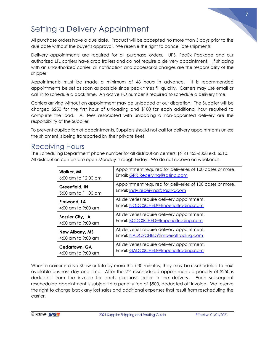

# <span id="page-7-0"></span>Setting a Delivery Appointment

All purchase orders have a due date. Product will be accepted no more than 3 days prior to the due date without the buyer's approval. We reserve the right to cancel late shipments

Delivery appointments are required for all purchase orders. UPS, FedEx Package and our authorized LTL carriers have drop trailers and do not require a delivery appointment. If shipping with an unauthorized carrier, all notification and accessorial charges are the responsibility of the shipper.

Appointments must be made a minimum of 48 hours in advance. It is recommended appointments be set as soon as possible since peak times fill quickly. Carriers may use email or call in to schedule a dock time. An active PO number is required to schedule a delivery time.

Carriers arriving without an appointment may be unloaded at our discretion. The Supplier will be charged \$250 for the first hour of unloading and \$100 for each additional hour required to complete the load. All fees associated with unloading a non-appointed delivery are the responsibility of the Supplier.

To prevent duplication of appointments, Suppliers should not call for delivery appointments unless the shipment is being transported by their private fleet.

### <span id="page-7-1"></span>Receiving Hours

The Scheduling Department phone number for all distribution centers: (616) 453-6358 ext. 6510. All distribution centers are open Monday through Friday. We do not receive on weekends.

| Walker, MI              | Appointment required for deliveries of 100 cases or more. |
|-------------------------|-----------------------------------------------------------|
| 6:00 am to 12:00 pm     | Email: GRR.Receiving@sasinc.com                           |
| Greenfield, IN          | Appointment required for deliveries of 100 cases or more. |
| 5:00 am to 11:00 am     | Email: Indy.receiving@sasinc.com                          |
| Elmwood, LA             | All deliveries require delivery appointment.              |
| 4:00 am to 9:00 am      | Email: NODCSCHED@Imperialtrading.com                      |
| <b>Bossier City, LA</b> | All deliveries require delivery appointment.              |
| 4:00 am to 9:00 am      | Email: BCDCSCHED@Imperialtrading.com                      |
| <b>New Albany, MS</b>   | All deliveries require delivery appointment.              |
| 4:00 am to 9:00 am      | Email: NADCSCHED@Imperialtrading.com                      |
| Cedartown, GA           | All deliveries require delivery appointment.              |
| 4:00 am to 9:00 am      | Email: GADCSCHED@Imperialtrading.com                      |

When a carrier is a No-Show or late by more than 30 minutes, they may be rescheduled to next available business day and time. After the  $2<sup>nd</sup>$  rescheduled appointment, a penalty of \$250 is deducted from the invoice for each purchase order in the delivery. Each subsequent rescheduled appointment is subject to a penalty fee of \$500, deducted off invoice. We reserve the right to charge back any lost sales and additional expenses that result from rescheduling the carrier.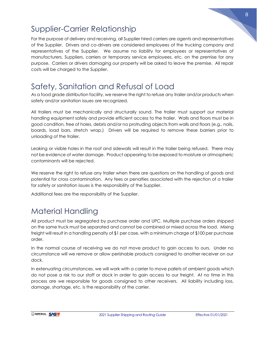

# <span id="page-8-0"></span>Supplier-Carrier Relationship

For the purpose of delivery and receiving, all Supplier hired carriers are agents and representatives of the Supplier. Drivers and co-drivers are considered employees of the trucking company and representatives of the Supplier. We assume no liability for employees or representatives of manufacturers, Suppliers, carriers or temporary service employees, etc. on the premise for any purpose. Carriers or drivers damaging our property will be asked to leave the premise. All repair costs will be charged to the Supplier.

# <span id="page-8-1"></span>Safety, Sanitation and Refusal of Load

As a food grade distribution facility, we reserve the right to refuse any trailer and/or products when safety and/or sanitation issues are recognized.

All trailers must be mechanically and structurally sound. The trailer must support our material handling equipment safely and provide efficient access to the trailer. Walls and floors must be in good condition, free of holes, debris and/or no protruding objects from walls and floors (e.g., nails, boards, load bars, stretch wrap.) Drivers will be required to remove these barriers prior to unloading of the trailer.

Leaking or visible holes in the roof and sidewalls will result in the trailer being refused. There may not be evidence of water damage. Product appearing to be exposed to moisture or atmospheric contaminants will be rejected.

We reserve the right to refuse any trailer when there are questions on the handling of goods and potential for cross contamination. Any fees or penalties associated with the rejection of a trailer for safety or sanitation issues is the responsibility of the Supplier.

Additional fees are the responsibility of the Supplier.

# <span id="page-8-2"></span>Material Handling

All product must be segregated by purchase order and UPC. Multiple purchase orders shipped on the same truck must be separated and cannot be combined or mixed across the load. Mixing freight will result in a handling penalty of \$1 per case, with a minimum charge of \$100 per purchase order.

In the normal course of receiving we do not move product to gain access to ours. Under no circumstance will we remove or allow perishable products consigned to another receiver on our dock.

In extenuating circumstances, we will work with a carrier to move pallets of ambient goods which do not pose a risk to our staff or dock in order to gain access to our freight. At no time in this process are we responsible for goods consigned to other receivers. All liability including loss, damage, shortage, etc. is the responsibility of the carrier.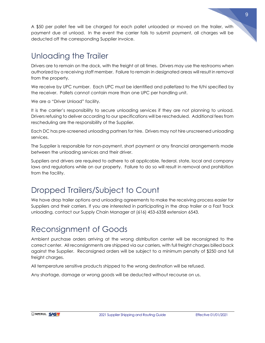A \$50 per pallet fee will be charged for each pallet unloaded or moved on the trailer, with payment due at unload. In the event the carrier fails to submit payment, all charges will be deducted off the corresponding Supplier invoice.

# <span id="page-9-0"></span>Unloading the Trailer

Drivers are to remain on the dock, with the freight at all times. Drivers may use the restrooms when authorized by a receiving staff member. Failure to remain in designated areas will result in removal from the property.

We receive by UPC number. Each UPC must be identified and palletized to the ti/hi specified by the receiver. Pallets cannot contain more than one UPC per handling unit.

We are a "Driver Unload" facility.

It is the carrier's responsibility to secure unloading services if they are not planning to unload. Drivers refusing to deliver according to our specifications will be rescheduled. Additional fees from rescheduling are the responsibility of the Supplier.

Each DC has pre-screened unloading partners for hire. Drivers may not hire unscreened unloading services.

The Supplier is responsible for non-payment, short payment or any financial arrangements made between the unloading services and their driver.

Suppliers and drivers are required to adhere to all applicable, federal, state, local and company laws and regulations while on our property. Failure to do so will result in removal and prohibition from the facility.

# <span id="page-9-1"></span>Dropped Trailers/Subject to Count

We have drop trailer options and unloading agreements to make the receiving process easier for Suppliers and their carriers. If you are interested in participating in the drop trailer or a Fast Track unloading, contact our Supply Chain Manager at (616) 453-6358 extension 6543.

# <span id="page-9-2"></span>Reconsignment of Goods

Ambient purchase orders arriving at the wrong distribution center will be reconsigned to the correct center. All reconsignments are shipped via our carriers, with full freight charges billed back against the Supplier. Reconsigned orders will be subject to a minimum penalty of \$250 and full freight charges.

All temperature sensitive products shipped to the wrong destination will be refused.

Any shortage, damage or wrong goods will be deducted without recourse on us.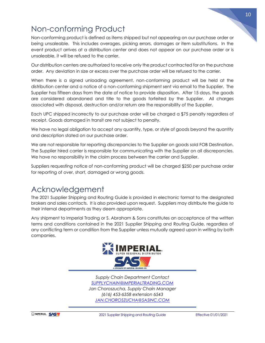

## <span id="page-10-0"></span>Non-conforming Product

Non-conforming product is defined as items shipped but not appearing on our purchase order or being unsaleable. This includes overages, picking errors, damages or item substitutions. In the event product arrives at a distribution center and does not appear on our purchase order or is unsaleable, it will be refused to the carrier.

Our distribution centers are authorized to receive only the product contracted for on the purchase order. Any deviation in size or excess over the purchase order will be refused to the carrier.

When there is a signed unloading agreement, non-conforming product will be held at the distribution center and a notice of a non-conforming shipment sent via email to the Supplier. The Supplier has fifteen days from the date of notice to provide disposition. After 15 days, the goods are considered abandoned and title to the goods forfeited by the Supplier. All charges associated with disposal, destruction and/or return are the responsibility of the Supplier.

Each UPC shipped incorrectly to our purchase order will be charged a \$75 penalty regardless of receipt. Goods damaged in transit are not subject to penalty.

We have no legal obligation to accept any quantity, type, or style of goods beyond the quantity and description stated on our purchase order.

We are not responsible for reporting discrepancies to the Supplier on goods sold FOB Destination. The Supplier hired carrier is responsible for communicating with the Supplier on all discrepancies. We have no responsibility in the claim process between the carrier and Supplier.

Suppliers requesting notice of non-conforming product will be charged \$250 per purchase order for reporting of over, short, damaged or wrong goods.

### <span id="page-10-1"></span>Acknowledgement

The 2021 Supplier Shipping and Routing Guide is provided in electronic format to the designated brokers and sales contacts. It is also provided upon request. Suppliers may distribute the guide to their internal departments as they deem appropriate.

Any shipment to Imperial Trading or S. Abraham & Sons constitutes an acceptance of the written terms and conditions contained in the 2021 Supplier Shipping and Routing Guide, regardless of any conflicting term or condition from the Supplier unless mutually agreed upon in writing by both companies.



*Supply Chain Department Contact [SUPPLYCHAIN@IMPERIALTRADING.COM](mailto:SUPPLYCHAIN@IMPERIALTRADING.COM) Jan Choroszucha, Supply Chain Manager (616) 453-6358 extension 6543 [JAN.CHOROSZUCHA@SASINC.COM](mailto:JAN.CHOROSZUCHA@SASINC.COM)*